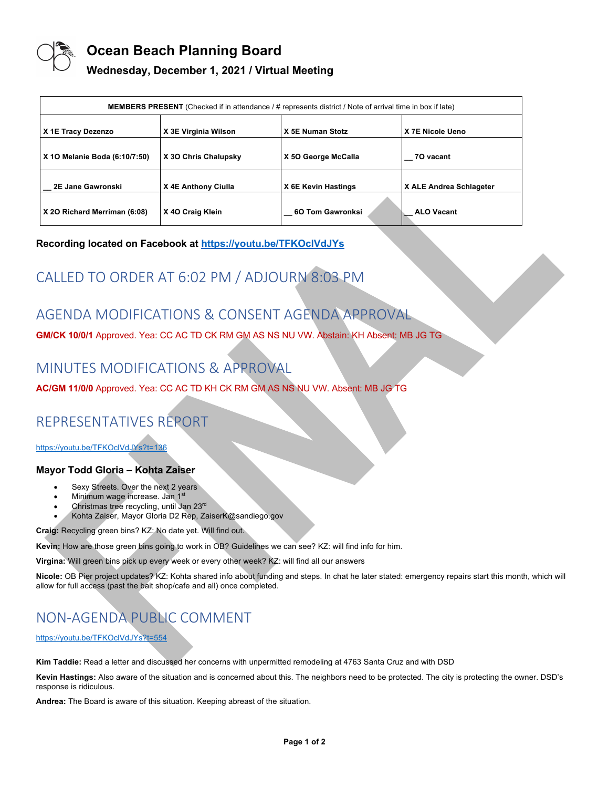

## **Ocean Beach Planning Board**

### **Wednesday, December 1, 2021 / Virtual Meeting**

| <b>MEMBERS PRESENT</b> (Checked if in attendance / # represents district / Note of arrival time in box if late) |                      |                     |                         |
|-----------------------------------------------------------------------------------------------------------------|----------------------|---------------------|-------------------------|
| X 1E Tracy Dezenzo                                                                                              | X 3E Virginia Wilson | X 5E Numan Stotz    | X 7E Nicole Ueno        |
| X 10 Melanie Boda (6:10/7:50)                                                                                   | X 30 Chris Chalupsky | X 50 George McCalla | 70 vacant               |
| 2E Jane Gawronski                                                                                               | X 4E Anthony Ciulla  | X 6E Kevin Hastings | X ALE Andrea Schlageter |
| X 20 Richard Merriman (6:08)                                                                                    | X 40 Craig Klein     | 6O Tom Gawronksi    | <b>ALO Vacant</b>       |

### **Recording located on Facebook at https://youtu.be/TFKOclVdJYs**

# CALLED TO ORDER AT 6:02 PM / ADJOURN 8:03 PM

## AGENDA MODIFICATIONS & CONSENT AGENDA APPROVAL

**GM/CK 10/0/1** Approved. Yea: CC AC TD CK RM GM AS NS NU VW. Abstain: KH Absent: MB JG TG

# MINUTES MODIFICATIONS & APPROVAL

**AC/GM 11/0/0** Approved. Yea: CC AC TD KH CK RM GM AS NS NU VW. Absent: MB JG TG

# REPRESENTATIVES REPORT

https://youtu.be/TFKOclVdJYs?t=136

### **Mayor Todd Gloria – Kohta Zaiser**

- Sexy Streets. Over the next 2 years
- Minimum wage increase. Jan 1<sup>st</sup>
- Christmas tree recycling, until Jan 23rd
- Kohta Zaiser, Mayor Gloria D2 Rep, ZaiserK@sandiego.gov

**Craig:** Recycling green bins? KZ: No date yet. Will find out.

**Kevin:** How are those green bins going to work in OB? Guidelines we can see? KZ: will find info for him.

**Virgina:** Will green bins pick up every week or every other week? KZ: will find all our answers

**Nicole:** OB Pier project updates? KZ: Kohta shared info about funding and steps. In chat he later stated: emergency repairs start this month, which will allow for full access (past the bait shop/cafe and all) once completed.

# NON-AGENDA PUBLIC COMMENT

### https://youtu.be/TFKOclVdJYs?t=554

**Kim Taddie:** Read a letter and discussed her concerns with unpermitted remodeling at 4763 Santa Cruz and with DSD

**Kevin Hastings:** Also aware of the situation and is concerned about this. The neighbors need to be protected. The city is protecting the owner. DSD's response is ridiculous.

**Andrea:** The Board is aware of this situation. Keeping abreast of the situation.